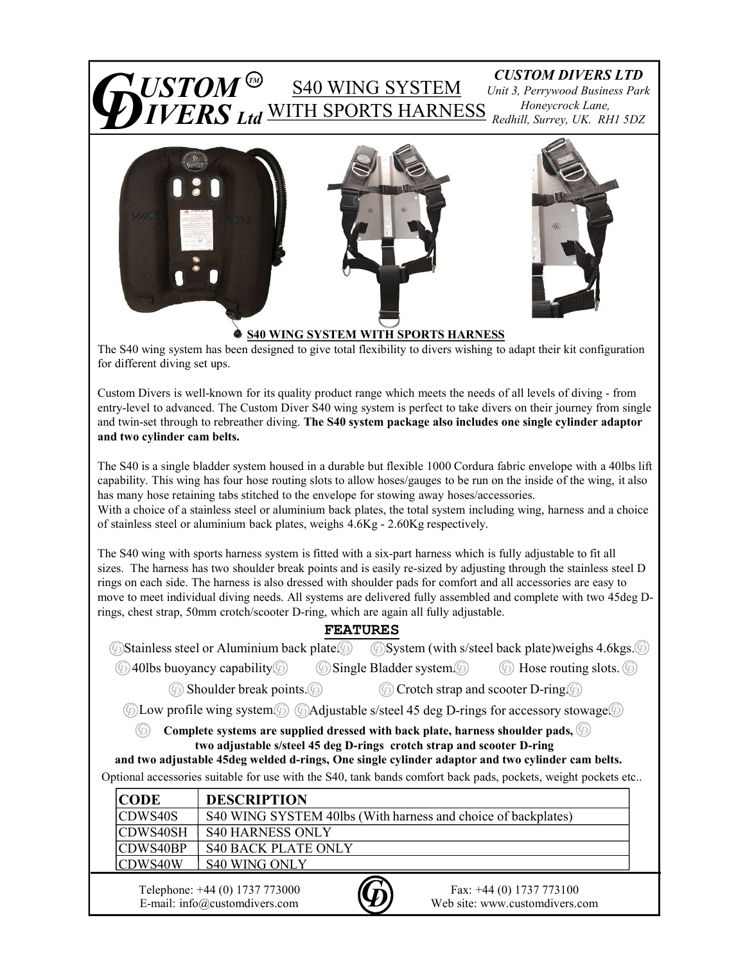